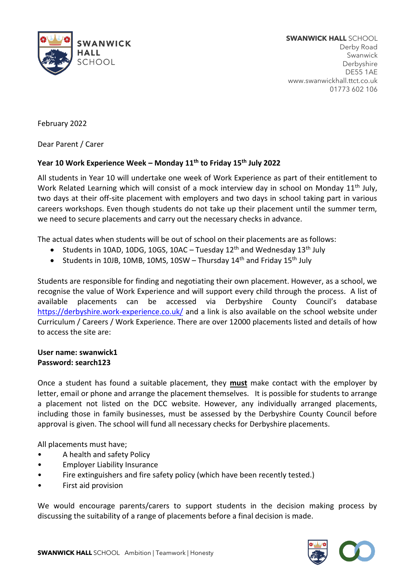

**SWANWICK HALL** SCHOOL Derby Road Swanwick Derbyshire DE55 1AE www.swanwickhall.ttct.co.uk 01773 602 106

February 2022

Dear Parent / Carer

## **Year 10 Work Experience Week – Monday 11th to Friday 15th July 2022**

All students in Year 10 will undertake one week of Work Experience as part of their entitlement to Work Related Learning which will consist of a mock interview day in school on Monday 11<sup>th</sup> July, two days at their off-site placement with employers and two days in school taking part in various careers workshops. Even though students do not take up their placement until the summer term, we need to secure placements and carry out the necessary checks in advance.

The actual dates when students will be out of school on their placements are as follows:

- Students in 10AD, 10DG, 10GS, 10AC Tuesday  $12<sup>th</sup>$  and Wednesday  $13<sup>th</sup>$  July
- Students in 10JB, 10MB, 10MS, 10SW Thursday  $14<sup>th</sup>$  and Friday 15<sup>th</sup> July

Students are responsible for finding and negotiating their own placement. However, as a school, we recognise the value of Work Experience and will support every child through the process. A list of available placements can be accessed via Derbyshire County Council's database <https://derbyshire.work-experience.co.uk/> and a link is also available on the school website under Curriculum / Careers / Work Experience. There are over 12000 placements listed and details of how to access the site are:

## **User name: swanwick1 Password: search123**

Once a student has found a suitable placement, they **must** make contact with the employer by letter, email or phone and arrange the placement themselves. It is possible for students to arrange a placement not listed on the DCC website. However, any individually arranged placements, including those in family businesses, must be assessed by the Derbyshire County Council before approval is given. The school will fund all necessary checks for Derbyshire placements.

All placements must have;

- A health and safety Policy
- Employer Liability Insurance
- Fire extinguishers and fire safety policy (which have been recently tested.)
- First aid provision

We would encourage parents/carers to support students in the decision making process by discussing the suitability of a range of placements before a final decision is made.